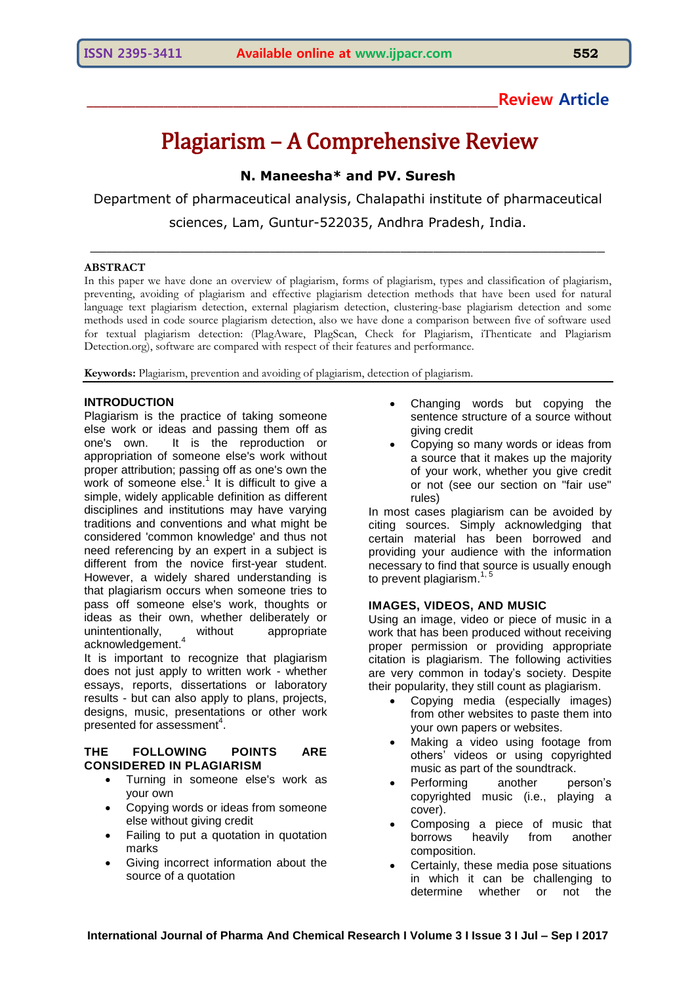## **\_\_\_\_\_\_\_\_\_\_\_\_\_\_\_\_\_\_\_\_\_\_\_\_\_\_\_\_\_\_\_\_\_\_\_\_\_\_\_\_\_\_\_\_\_\_\_\_\_\_\_\_\_\_\_\_\_\_\_Review Article**

# Plagiarism – A Comprehensive Review

## **N. Maneesha\* and PV. Suresh**

Department of pharmaceutical analysis, Chalapathi institute of pharmaceutical sciences, Lam, Guntur-522035, Andhra Pradesh, India.

\_\_\_\_\_\_\_\_\_\_\_\_\_\_\_\_\_\_\_\_\_\_\_\_\_\_\_\_\_\_\_\_\_\_\_\_\_\_\_\_\_\_\_\_\_\_\_\_\_\_\_\_\_\_\_\_\_\_\_\_\_\_\_

#### **ABSTRACT**

In this paper we have done an overview of plagiarism, forms of plagiarism, types and classification of plagiarism, preventing, avoiding of plagiarism and effective plagiarism detection methods that have been used for natural language text plagiarism detection, external plagiarism detection, clustering-base plagiarism detection and some methods used in code source plagiarism detection, also we have done a comparison between five of software used for textual plagiarism detection: (PlagAware, PlagScan, Check for Plagiarism, iThenticate and Plagiarism Detection.org), software are compared with respect of their features and performance.

**Keywords:** Plagiarism, prevention and avoiding of plagiarism, detection of plagiarism.

### **INTRODUCTION**

Plagiarism is the practice of taking someone else work or ideas and passing them off as one's own. It is the reproduction or appropriation of someone else's work without proper attribution; passing off as one's own the work of someone  $e^{\int$  It is difficult to give a simple, widely applicable definition as different disciplines and institutions may have varying traditions and conventions and what might be considered 'common knowledge' and thus not need referencing by an expert in a subject is different from the novice first-year student. However, a widely shared understanding is that plagiarism occurs when someone tries to pass off someone else's work, thoughts or ideas as their own, whether deliberately or<br>unintentionally, without appropriate unintentionally, without appropriate acknowledgement.<sup>4</sup>

It is important to recognize that plagiarism does not just apply to written work - whether essays, reports, dissertations or laboratory results - but can also apply to plans, projects, designs, music, presentations or other work presented for assessment<sup>4</sup>.

### **THE FOLLOWING POINTS ARE CONSIDERED IN PLAGIARISM**

- Turning in someone else's work as your own
- Copying words or ideas from someone else without giving credit
- Failing to put a quotation in quotation marks
- Giving incorrect information about the source of a quotation
- Changing words but copying the sentence structure of a source without giving credit
- Copying so many words or ideas from a source that it makes up the majority of your work, whether you give credit or not (see our section on "fair use" rules)

In most cases plagiarism can be avoided by citing sources. Simply acknowledging that certain material has been borrowed and providing your audience with the information necessary to find that source is usually enough to prevent plagiarism.<sup>1, 5</sup>

#### **IMAGES, VIDEOS, AND MUSIC**

Using an image, video or piece of music in a work that has been produced without receiving proper permission or providing appropriate citation is plagiarism. The following activities are very common in today"s society. Despite their popularity, they still count as plagiarism.

- Copying media (especially images) from other websites to paste them into your own papers or websites.
- Making a video using footage from others" videos or using copyrighted music as part of the soundtrack.
- Performing another person"s copyrighted music (i.e., playing a cover).
- Composing a piece of music that<br>borrows heavily from another borrows heavily from composition.
- Certainly, these media pose situations in which it can be challenging to determine whether or not the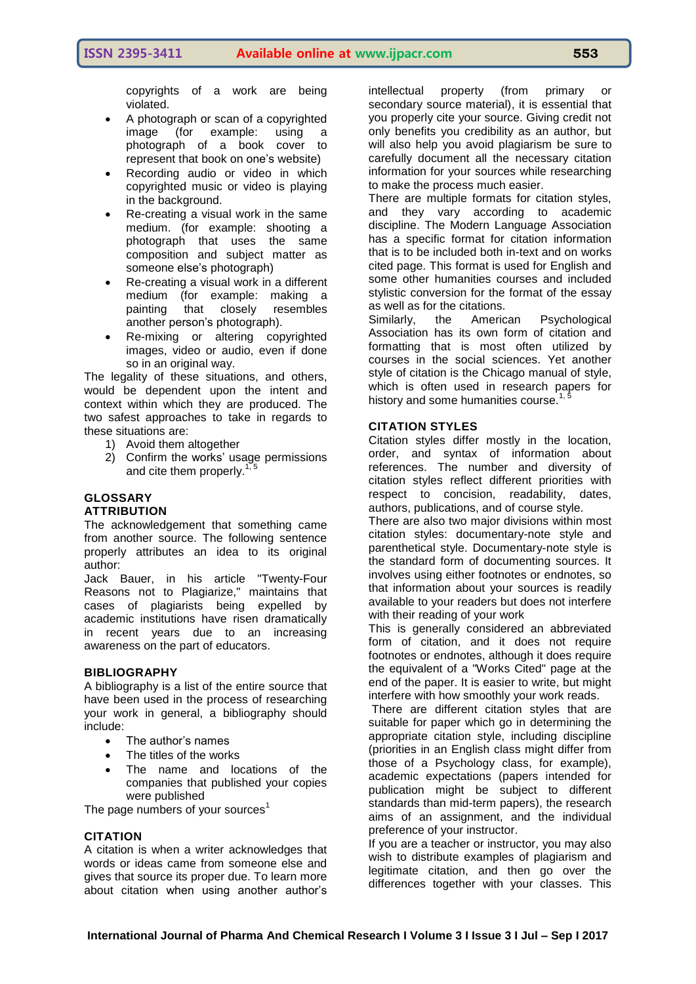copyrights of a work are being violated.

- A photograph or scan of a copyrighted image (for example: using a photograph of a book cover to represent that book on one"s website)
- Recording audio or video in which copyrighted music or video is playing in the background.
- Re-creating a visual work in the same medium. (for example: shooting a photograph that uses the same composition and subject matter as someone else"s photograph)
- Re-creating a visual work in a different medium (for example: making a painting that closely resembles another person"s photograph).
- Re-mixing or altering copyrighted images, video or audio, even if done so in an original way.

The legality of these situations, and others, would be dependent upon the intent and context within which they are produced. The two safest approaches to take in regards to these situations are:

- 1) Avoid them altogether
- 2) Confirm the works' usage permissions and cite them properly.<sup>1, 5</sup>

## **GLOSSARY**

### **ATTRIBUTION**

The acknowledgement that something came from another source. The following sentence properly attributes an idea to its original author:

Jack Bauer, in his article "Twenty-Four Reasons not to Plagiarize," maintains that cases of plagiarists being expelled by academic institutions have risen dramatically in recent years due to an increasing awareness on the part of educators.

#### **BIBLIOGRAPHY**

A bibliography is a list of the entire source that have been used in the process of researching your work in general, a bibliography should include:

- The author"s names
- The titles of the works
- The name and locations of the companies that published your copies were published

The page numbers of your sources $<sup>1</sup>$ </sup>

#### **CITATION**

A citation is when a writer acknowledges that words or ideas came from someone else and gives that source its proper due. To learn more about citation when using another author's

intellectual property (from primary or secondary source material), it is essential that you properly cite your source. Giving credit not only benefits you credibility as an author, but will also help you avoid plagiarism be sure to carefully document all the necessary citation information for your sources while researching to make the process much easier.

There are multiple formats for citation styles, and they vary according to academic discipline. The Modern Language Association has a specific format for citation information that is to be included both in-text and on works cited page. This format is used for English and some other humanities courses and included stylistic conversion for the format of the essay as well as for the citations.

Similarly, the American Psychological Association has its own form of citation and formatting that is most often utilized by courses in the social sciences. Yet another style of citation is the Chicago manual of style, which is often used in research papers for history and some humanities course.<sup>1</sup>

#### **CITATION STYLES**

Citation styles differ mostly in the location, order, and syntax of information about references. The number and diversity of citation styles reflect different priorities with respect to concision, readability, dates, authors, publications, and of course style.

There are also two major divisions within most citation styles: documentary-note style and parenthetical style. Documentary-note style is the standard form of documenting sources. It involves using either footnotes or endnotes, so that information about your sources is readily available to your readers but does not interfere with their reading of your work

This is generally considered an abbreviated form of citation, and it does not require footnotes or endnotes, although it does require the equivalent of a "Works Cited" page at the end of the paper. It is easier to write, but might interfere with how smoothly your work reads.

There are different citation styles that are suitable for paper which go in determining the appropriate citation style, including discipline (priorities in an English class might differ from those of a Psychology class, for example), academic expectations (papers intended for publication might be subject to different standards than mid-term papers), the research aims of an assignment, and the individual preference of your instructor.

If you are a teacher or instructor, you may also wish to distribute examples of plagiarism and legitimate citation, and then go over the differences together with your classes. This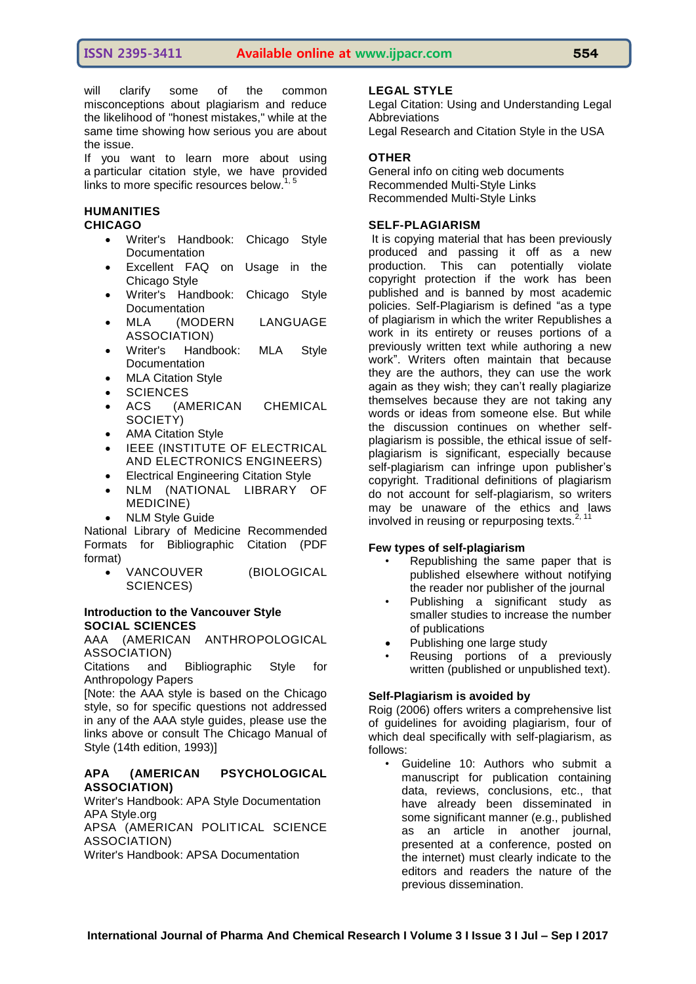will clarify some of the common misconceptions about plagiarism and reduce the likelihood of "honest mistakes," while at the same time showing how serious you are about the issue.

If you want to learn more about using a particular citation style, we have provided links to more specific resources below. $1, 5$ 

## **HUMANITIES**

## **CHICAGO**

- Writer's [Handbook:](http://www.wisc.edu/writing/Handbook/DocChicago.html) Chicago Style **[Documentation](http://www.wisc.edu/writing/Handbook/DocChicago.html)**
- [Excellent](http://www.press.uchicago.edu/Misc/Chicago/cmosfaq/) FAQ on Usage in the [Chicago](http://www.press.uchicago.edu/Misc/Chicago/cmosfaq/) Style
- Writer's [Handbook:](http://www.wisc.edu/writing/Handbook/DocChicago.html) Chicago Style **[Documentation](http://www.wisc.edu/writing/Handbook/DocChicago.html)**
- MLA (MODERN LANGUAGE ASSOCIATION)
- Writer's [Handbook:](http://www.wisc.edu/writing/Handbook/DocMLA.html) MLA Style **[Documentation](http://www.wisc.edu/writing/Handbook/DocMLA.html)**
- MLA [Citation](http://campusgw.library.cornell.edu/newhelp/res_strategy/citing/mla.html) Style
- **SCIENCES**
- ACS (AMERICAN CHEMICAL SOCIETY)
- AMA [Citation](http://www2.liu.edu/cwis/cwp/library/workshop/citama.htm) Style
- **IEEE (INSTITUTE OF ELECTRICAL** AND ELECTRONICS ENGINEERS)
- Electrical [Engineering](http://www.ieee.org/documents/ieeecitationref.pdf) Citation Style
- NLM (NATIONAL LIBRARY OF MEDICINE)
- NLM Style [Guide](http://www.nlm.nih.gov/pubs/formats/recommendedformats.html)

National Library of Medicine [Recommended](http://www.nlm.nih.gov/pubs/formats/internet.pdf) Formats for [Bibliographic](http://www.nlm.nih.gov/pubs/formats/internet.pdf) Citation (PDF [format\)](http://www.nlm.nih.gov/pubs/formats/internet.pdf)

 VANCOUVER (BIOLOGICAL SCIENCES)

## **[Introduction](http://www.sussex.ac.uk/library/infosuss/referencing/v_intro.shtml) to the Vancouver Style SOCIAL SCIENCES**

AAA (AMERICAN ANTHROPOLOGICAL ASSOCIATION)

Citations and [Bibliographic](http://www.plagiarism.org/assets/downloads/AAA_StyleGuide_2009.pdf) Style for [Anthropology](http://www.plagiarism.org/assets/downloads/AAA_StyleGuide_2009.pdf) Papers

[Note: the AAA style is based on the Chicago style, so for specific questions not addressed in any of the AAA style guides, please use the links above or consult The Chicago Manual of Style (14th edition, 1993)]

## **APA (AMERICAN PSYCHOLOGICAL ASSOCIATION)**

Writer's Handbook: APA Style [Documentation](http://www.wisc.edu/writing/Handbook/DocAPA.html) APA [Style.org](http://www.apastyle.org/elecref.html) APSA (AMERICAN POLITICAL SCIENCE

ASSOCIATION)

Writer's Handbook: APSA [Documentation](http://www.wisc.edu/writing/Handbook/DocAPSA.html)

## **LEGAL STYLE**

Legal Citation: Using and [Understanding](http://library.queensu.ca/law/lederman/legalcit.htm) Legal [Abbreviations](http://library.queensu.ca/law/lederman/legalcit.htm) Legal [Research](http://www.rbs0.com/lawcite.htm) and Citation Style in the USA

## **OTHER**

General info on citing web [documents](http://www.lib.berkeley.edu/TeachingLib/Guides/Internet/Style.html) [Recommended](http://www.aresearchguide.com/styleguides.html) Multi-Style Links [Recommended](http://www.dianahacker.com/resdoc/) Multi-Style Links

## **SELF-PLAGIARISM**

It is copying material that has been previously produced and passing it off as a new production. This can potentially violate copyright protection if the work has been published and is banned by most academic policies. Self-Plagiarism is defined "as a type of plagiarism in which the writer Republishes a work in its entirety or reuses portions of a previously written text while authoring a new work". Writers often maintain that because they are the authors, they can use the work again as they wish; they can"t really plagiarize themselves because they are not taking any words or ideas from someone else. But while the discussion continues on whether selfplagiarism is possible, the ethical issue of selfplagiarism is significant, especially because self-plagiarism can infringe upon publisher"s copyright. Traditional definitions of plagiarism do not account for self-plagiarism, so writers may be unaware of the ethics and laws involved in reusing or repurposing texts. $2, 1$ 

## **Few types of self-plagiarism**

- Republishing the same paper that is published elsewhere without notifying the reader nor publisher of the journal
- Publishing a significant study as smaller studies to increase the number of publications
- Publishing one large study
- Reusing portions of a previously written (published or unpublished text).

## **Self-Plagiarism is avoided by**

Roig (2006) offers writers a comprehensive list of guidelines for avoiding plagiarism, four of which deal specifically with self-plagiarism, as follows:

• Guideline 10: Authors who submit a manuscript for publication containing data, reviews, conclusions, etc., that have already been disseminated in some significant manner (e.g., published as an article in another journal, presented at a conference, posted on the internet) must clearly indicate to the editors and readers the nature of the previous dissemination.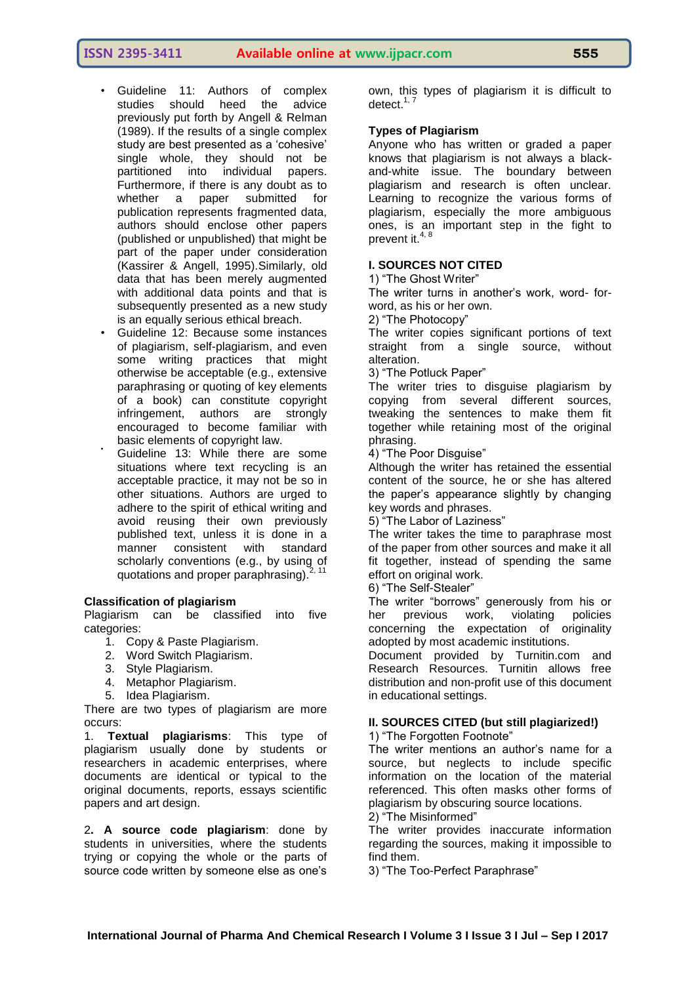- Guideline 11: Authors of complex studies should heed the advice previously put forth by Angell & Relman (1989). If the results of a single complex study are best presented as a 'cohesive' single whole, they should not be partitioned into individual papers. Furthermore, if there is any doubt as to whether a paper submitted for publication represents fragmented data, authors should enclose other papers (published or unpublished) that might be part of the paper under consideration (Kassirer & Angell, 1995).Similarly, old data that has been merely augmented with additional data points and that is subsequently presented as a new study is an equally serious ethical breach.
- Guideline 12: Because some instances of plagiarism, self-plagiarism, and even some writing practices that might otherwise be acceptable (e.g., extensive paraphrasing or quoting of key elements of a book) can constitute copyright infringement, authors are strongly encouraged to become familiar with basic elements of copyright law.
- Guideline 13: While there are some situations where text recycling is an acceptable practice, it may not be so in other situations. Authors are urged to adhere to the spirit of ethical writing and avoid reusing their own previously published text, unless it is done in a manner consistent with standard scholarly conventions (e.g., by using of quotations and proper paraphrasing).

#### **Classification of plagiarism**

Plagiarism can be classified into five categories:

- 1. Copy & Paste Plagiarism.
- 2. Word Switch Plagiarism.
- 3. Style Plagiarism.
- 4. Metaphor Plagiarism.
- 5. Idea Plagiarism.

There are two types of plagiarism are more occurs:

1. **Textual plagiarisms**: This type of plagiarism usually done by students or researchers in academic enterprises, where documents are identical or typical to the original documents, reports, essays scientific papers and art design.

2**. A source code plagiarism**: done by students in universities, where the students trying or copying the whole or the parts of source code written by someone else as one's

own, this types of plagiarism it is difficult to detect.<sup>1, 7</sup>

#### **Types of Plagiarism**

Anyone who has written or graded a paper knows that plagiarism is not always a blackand-white issue. The boundary between plagiarism and research is often unclear. Learning to recognize the various forms of plagiarism, especially the more ambiguous ones, is an important step in the fight to prevent it.<sup>4, 8</sup>

#### **I. SOURCES NOT CITED**

1) "The Ghost Writer"

The writer turns in another"s work, word- forword, as his or her own.

2) "The Photocopy"

The writer copies significant portions of text straight from a single source, without alteration.

3) "The Potluck Paper"

The writer tries to disguise plagiarism by copying from several different sources, tweaking the sentences to make them fit together while retaining most of the original phrasing.

4) "The Poor Disguise"

Although the writer has retained the essential content of the source, he or she has altered the paper"s appearance slightly by changing key words and phrases.

5) "The Labor of Laziness"

The writer takes the time to paraphrase most of the paper from other sources and make it all fit together, instead of spending the same effort on original work.

6) "The Self-Stealer"

The writer "borrows" generously from his or her previous work, violating policies concerning the expectation of originality adopted by most academic institutions.

Document provided by Turnitin.com and Research Resources. Turnitin allows free distribution and non-profit use of this document in educational settings.

## **II. SOURCES CITED (but still plagiarized!)**

1) "The Forgotten Footnote"

The writer mentions an author's name for a source, but neglects to include specific information on the location of the material referenced. This often masks other forms of plagiarism by obscuring source locations.

2) "The Misinformed"

The writer provides inaccurate information regarding the sources, making it impossible to find them.

3) "The Too-Perfect Paraphrase"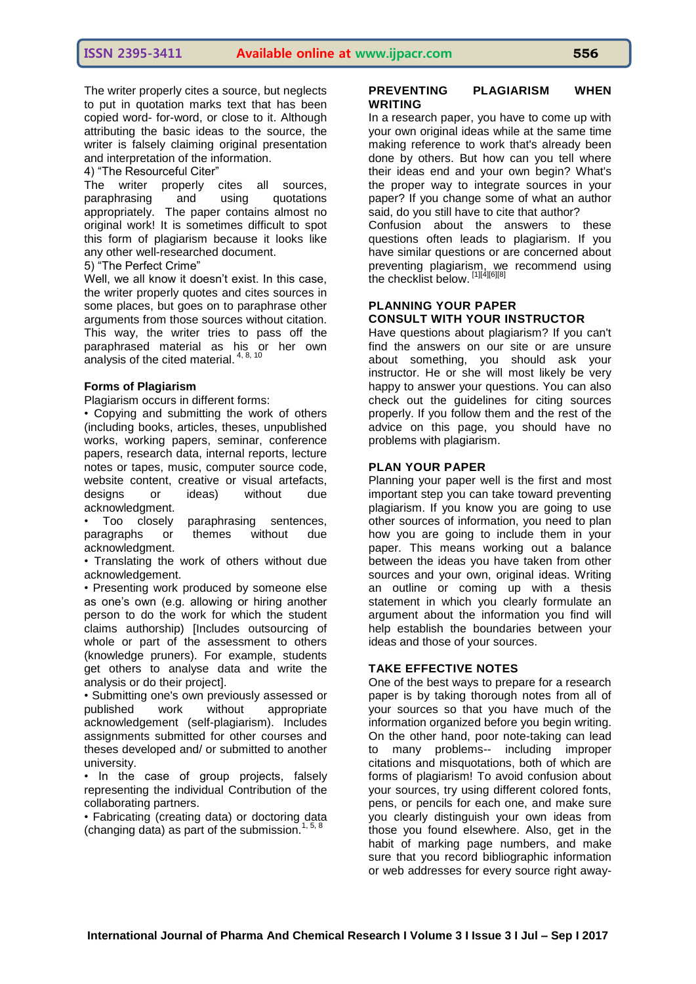The writer properly cites a source, but neglects to put in quotation marks text that has been copied word- for-word, or close to it. Although attributing the basic ideas to the source, the writer is falsely claiming original presentation and interpretation of the information.

## 4) "The Resourceful Citer"

The writer properly cites all sources, paraphrasing and using quotations appropriately. The paper contains almost no original work! It is sometimes difficult to spot this form of plagiarism because it looks like any other well-researched document.

#### 5) "The Perfect Crime"

Well, we all know it doesn't exist. In this case, the writer properly quotes and cites sources in some places, but goes on to paraphrase other arguments from those sources without citation. This way, the writer tries to pass off the paraphrased material as his or her own analysis of the cited material.  $4, 8, 10$ 

#### **Forms of Plagiarism**

Plagiarism occurs in different forms:

• Copying and submitting the work of others (including books, articles, theses, unpublished works, working papers, seminar, conference papers, research data, internal reports, lecture notes or tapes, music, computer source code, website content, creative or visual artefacts, designs or ideas) without due acknowledgment.

• Too closely paraphrasing sentences, paragraphs or themes without due acknowledgment.

• Translating the work of others without due acknowledgement.

• Presenting work produced by someone else as one's own (e.g. allowing or hiring another person to do the work for which the student claims authorship) [Includes outsourcing of whole or part of the assessment to others (knowledge pruners). For example, students get others to analyse data and write the analysis or do their project].

• Submitting one's own previously assessed or published work without appropriate acknowledgement (self-plagiarism). Includes assignments submitted for other courses and theses developed and/ or submitted to another university.

• In the case of group projects, falsely representing the individual Contribution of the collaborating partners.

• Fabricating (creating data) or doctoring data (changing data) as part of the submission.<sup>1, 5,</sup>

#### **PREVENTING PLAGIARISM WHEN WRITING**

In a research paper, you have to come up with your own original ideas while at the same time making reference to work that's already been done by others. But how can you tell where their ideas end and your own begin? What's the proper way to integrate sources in your paper? If you change some of what an author said, do you still have to cite that author?

Confusion about the answers to these questions often leads to plagiarism. If you have similar questions or are concerned about preventing plagiarism, we recommend using the checklist below. [1][4][6][8]

### **PLANNING YOUR PAPER CONSULT WITH YOUR INSTRUCTOR**

Have questions about plagiarism? If you can't find the answers on our site or are unsure about something, you should ask your instructor. He or she will most likely be very happy to answer your questions. You can also check out the guidelines for citing sources properly. If you follow them and the rest of the advice on this page, you should have no problems with plagiarism.

#### **PLAN YOUR PAPER**

Planning your paper well is the first and most important step you can take toward preventing plagiarism. If you know you are going to use other sources of information, you need to plan how you are going to include them in your paper. This means working out a balance between the ideas you have taken from other sources and your own, original ideas. Writing an outline or coming up with a thesis statement in which you clearly formulate an argument about the information you find will help establish the boundaries between your ideas and those of your sources.

#### **TAKE EFFECTIVE NOTES**

One of the best ways to prepare for a research paper is by taking thorough notes from all of your sources so that you have much of the information organized before you begin writing. On the other hand, poor note-taking can lead to many problems-- including improper citations and misquotations, both of which are forms of plagiarism! To avoid confusion about your sources, try using different colored fonts, pens, or pencils for each one, and make sure you clearly distinguish your own ideas from those you found elsewhere. Also, get in the habit of marking page numbers, and make sure that you record bibliographic information or web addresses for every source right away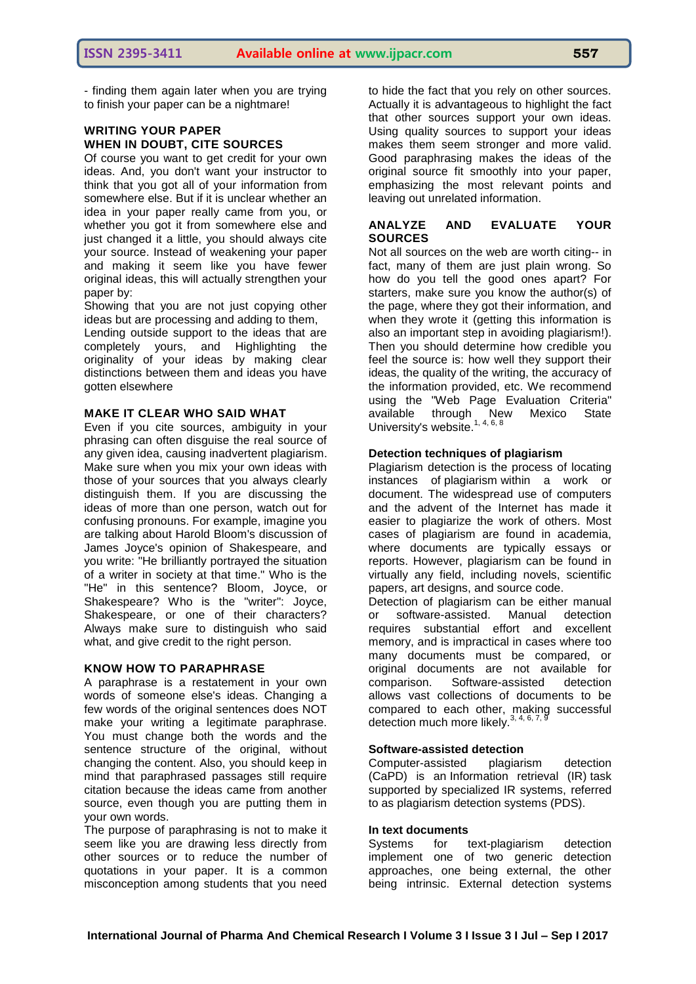- finding them again later when you are trying to finish your paper can be a nightmare!

## **WRITING YOUR PAPER WHEN IN DOUBT, CITE SOURCES**

Of course you want to get credit for your own ideas. And, you don't want your instructor to think that you got all of your information from somewhere else. But if it is unclear whether an idea in your paper really came from you, or whether you got it from somewhere else and just changed it a little, you should always cite your source. Instead of weakening your paper and making it seem like you have fewer original ideas, this will actually strengthen your paper by:

Showing that you are not just copying other ideas but are processing and adding to them,

Lending outside support to the ideas that are completely yours, and Highlighting the originality of your ideas by making clear distinctions between them and ideas you have gotten elsewhere

#### **MAKE IT CLEAR WHO SAID WHAT**

Even if you cite sources, ambiguity in your phrasing can often disguise the real source of any given idea, causing inadvertent plagiarism. Make sure when you mix your own ideas with those of your sources that you always clearly distinguish them. If you are discussing the ideas of more than one person, watch out for confusing pronouns. For example, imagine you are talking about Harold Bloom's discussion of James Joyce's opinion of Shakespeare, and you write: "He brilliantly portrayed the situation of a writer in society at that time." Who is the "He" in this sentence? Bloom, Joyce, or Shakespeare? Who is the "writer": Joyce, Shakespeare, or one of their characters? Always make sure to distinguish who said what, and give credit to the right person.

#### **KNOW HOW TO PARAPHRASE**

A paraphrase is a restatement in your own words of someone else's ideas. Changing a few words of the original sentences does NOT make your writing a legitimate paraphrase. You must change both the words and the sentence structure of the original, without changing the content. Also, you should keep in mind that paraphrased passages still require citation because the ideas came from another source, even though you are putting them in your own words.

The purpose of paraphrasing is not to make it seem like you are drawing less directly from other sources or to reduce the number of quotations in your paper. It is a common misconception among students that you need

to hide the fact that you rely on other sources. Actually it is advantageous to highlight the fact that other sources support your own ideas. Using quality sources to support your ideas makes them seem stronger and more valid. Good paraphrasing makes the ideas of the original source fit smoothly into your paper, emphasizing the most relevant points and leaving out unrelated information.

#### **ANALYZE AND EVALUATE YOUR SOURCES**

Not all sources on the web are worth citing-- in fact, many of them are just plain wrong. So how do you tell the good ones apart? For starters, make sure you know the author(s) of the page, where they got their information, and when they wrote it (getting this information is also an important step in avoiding plagiarism!). Then you should determine how credible you feel the source is: how well they support their ideas, the quality of the writing, the accuracy of the information provided, etc. We recommend using the "Web Page Evaluation Criteria" available through New Mexico State University's website.<sup>1, 4, 6, 8</sup>

#### **Detection techniques of plagiarism**

Plagiarism detection is the process of locating instances of [plagiarism](https://en.wikipedia.org/wiki/Plagiarism) within a work or document. The widespread use of computers and the advent of the Internet has made it easier to plagiarize the work of others. Most cases of plagiarism are found in academia, where documents are typically essays or reports. However, plagiarism can be found in virtually any field, including novels, scientific papers, art designs, and source code.

Detection of plagiarism can be either manual or software-assisted. Manual detection requires substantial effort and excellent memory, and is impractical in cases where too many documents must be compared, or original documents are not available for comparison. Software-assisted detection allows vast collections of documents to be compared to each other, making successful detection much more likely.  $3, 4, 6, 7$ ,

## **Software-assisted detection**

Computer-assisted plagiarism detection (CaPD) is an [Information retrieval \(IR\)](https://en.wikipedia.org/wiki/Information_retrieval) task supported by specialized IR systems, referred to as plagiarism detection systems (PDS).

#### **In text documents**

Systems for text-plagiarism detection implement one of two generic detection approaches, one being external, the other being intrinsic. External detection systems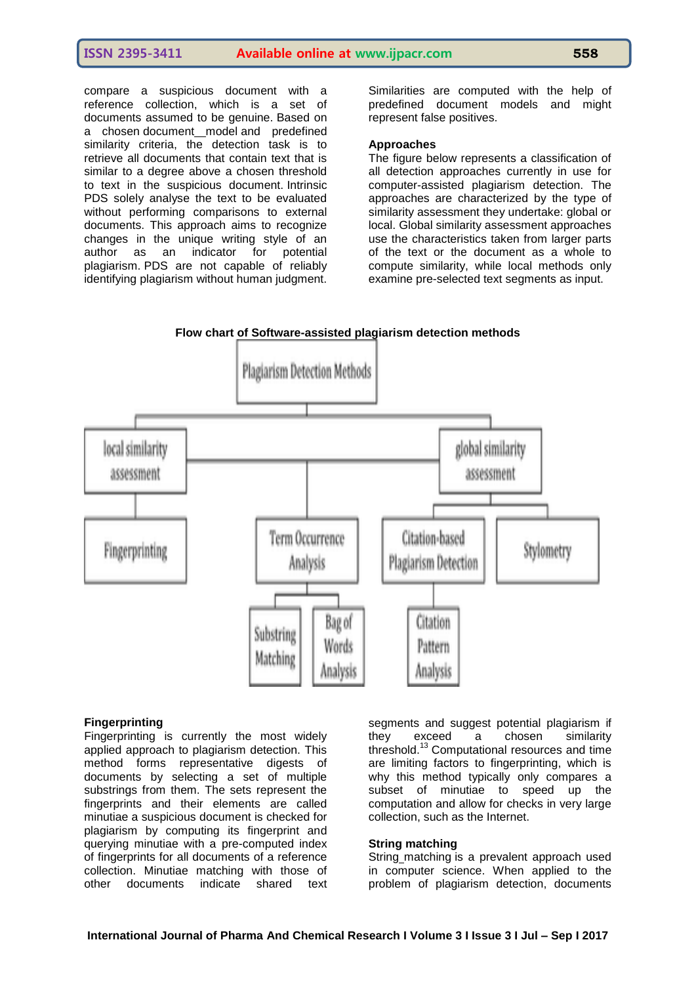compare a suspicious document with a reference collection, which is a set of documents assumed to be genuine. Based on a chosen [document](https://en.wikipedia.org/wiki/Information_retrieval#Model_types)\_model and predefined similarity criteria, the detection task is to retrieve all documents that contain text that is similar to a degree above a chosen threshold to text in the suspicious document. Intrinsic PDS solely analyse the text to be evaluated without performing comparisons to external documents. This approach aims to recognize changes in the unique writing style of an author as an indicator for potential plagiarism. PDS are not capable of reliably identifying plagiarism without human judgment. Similarities are computed with the help of predefined document models and might represent false positives.

### **Approaches**

The figure below represents a classification of all detection approaches currently in use for computer-assisted plagiarism detection. The approaches are characterized by the type of similarity assessment they undertake: global or local. Global similarity assessment approaches use the characteristics taken from larger parts of the text or the document as a whole to compute similarity, while local methods only examine pre-selected text segments as input.





#### **Fingerprinting**

Fingerprinting is currently the most widely applied approach to plagiarism detection. This method forms representative digests of documents by selecting a set of multiple substrings from them. The sets represent the fingerprints and their elements are called minutiae a suspicious document is checked for plagiarism by computing its fingerprint and querying minutiae with a pre-computed index of fingerprints for all documents of a reference collection. Minutiae matching with those of other documents indicate shared text

segments and suggest potential plagiarism if<br>they exceed a chosen similarity they exceed a chosen similarity threshold.[13](https://en.wikipedia.org/wiki/Plagiarism_detection#cite_note-Brin95-13) Computational resources and time are limiting factors to fingerprinting, which is why this method typically only compares a subset of minutiae to speed up the computation and allow for checks in very large collection, such as the Internet.

#### **String matching**

String [matching](https://en.wikipedia.org/wiki/String_matching) is a prevalent approach used in computer science. When applied to the problem of plagiarism detection, documents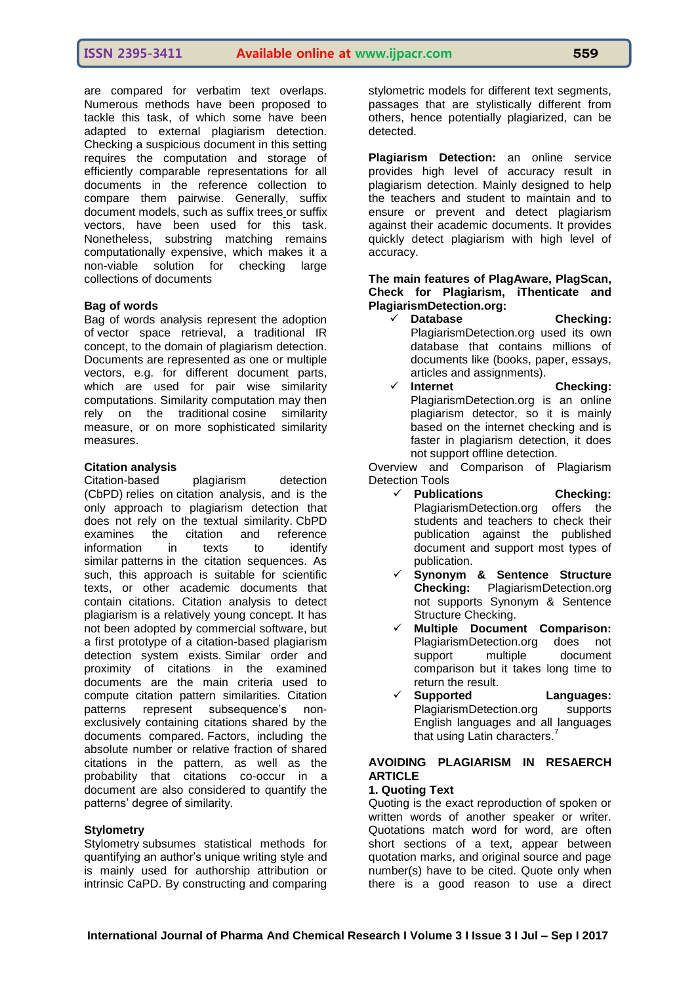are compared for verbatim text overlaps. Numerous methods have been proposed to tackle this task, of which some have been adapted to external plagiarism detection. Checking a suspicious document in this setting requires the computation and storage of efficiently comparable representations for all documents in the reference collection to compare them pairwise. Generally, suffix document models, such as [suffix trees](https://en.wikipedia.org/wiki/Suffix_tree) or suffix vectors, have been used for this task. Nonetheless, substring matching remains computationally expensive, which makes it a non-viable solution for checking large collections of documents

#### **Bag of words**

Bag of words analysis represent the adoption of [vector space retrieval,](https://en.wikipedia.org/wiki/Vector_space_model) a traditional IR concept, to the domain of plagiarism detection. Documents are represented as one or multiple vectors, e.g. for different document parts, which are used for pair wise similarity computations. Similarity computation may then rely on the traditional [cosine similarity](https://en.wikipedia.org/wiki/Cosine_similarity)  [measure,](https://en.wikipedia.org/wiki/Cosine_similarity) or on more sophisticated similarity measures.

#### **Citation analysis**

Citation-based plagiarism detection (CbPD) relies on [citation analysis,](https://en.wikipedia.org/wiki/Citation_analysis) and is the only approach to plagiarism detection that does not rely on the textual similarity. CbPD examines the citation and reference information in texts to identify similar [patterns](https://en.wikipedia.org/wiki/Pattern) in the citation sequences. As such, this approach is suitable for scientific texts, or other academic documents that contain citations. Citation analysis to detect plagiarism is a relatively young concept. It has not been adopted by commercial software, but a first prototype of a citation-based plagiarism detection system exists. Similar order and proximity of citations in the examined documents are the main criteria used to compute citation pattern similarities. Citation patterns represent subsequence's nonexclusively containing citations shared by the documents compared. Factors, including the absolute number or relative fraction of shared citations in the pattern, as well as the probability that citations co-occur in a document are also considered to quantify the patterns" degree of similarity.

#### **Stylometry**

[Stylometry](https://en.wikipedia.org/wiki/Stylometry) subsumes statistical methods for quantifying an author"s unique writing style and is mainly used for authorship attribution or intrinsic CaPD. By constructing and comparing

stylometric models for different text segments, passages that are stylistically different from others, hence potentially plagiarized, can be detected.

**Plagiarism Detection:** an online service provides high level of accuracy result in plagiarism detection. Mainly designed to help the teachers and student to maintain and to ensure or prevent and detect plagiarism against their academic documents. It provides quickly detect plagiarism with high level of accuracy.

#### **The main features of PlagAware, PlagScan, Check for Plagiarism, iThenticate and PlagiarismDetection.org:**

- **Database Checking:** PlagiarismDetection.org used its own database that contains millions of documents like (books, paper, essays, articles and assignments).
- **Internet Checking:** PlagiarismDetection.org is an online plagiarism detector, so it is mainly based on the internet checking and is faster in plagiarism detection, it does not support offline detection.

Overview and Comparison of Plagiarism Detection Tools

- **Publications Checking:** PlagiarismDetection.org offers the students and teachers to check their publication against the published document and support most types of publication.
	- **Synonym & Sentence Structure Checking:** PlagiarismDetection.org not supports Synonym & Sentence Structure Checking.
- **Multiple Document Comparison:** PlagiarismDetection.org does not support multiple document comparison but it takes long time to return the result.
- **Supported Languages:** PlagiarismDetection.org supports English languages and all languages that using Latin characters.<sup>7</sup>

## **AVOIDING PLAGIARISM IN RESAERCH ARTICLE**

#### **1. Quoting Text**

Quoting is the exact reproduction of spoken or written words of another speaker or writer. Quotations match word for word, are often short sections of a text, appear between quotation marks, and original source and page number(s) have to be cited. Quote only when there is a good reason to use a direct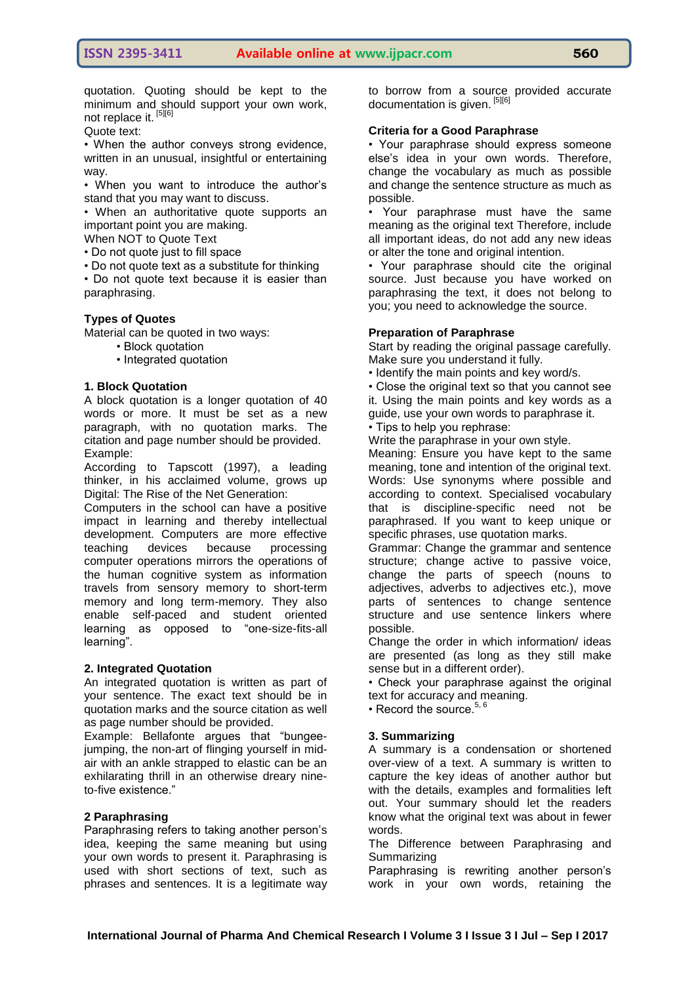quotation. Quoting should be kept to the minimum and should support your own work, not replace it. [5][6]

Quote text:

• When the author conveys strong evidence, written in an unusual, insightful or entertaining way.

• When you want to introduce the author"s stand that you may want to discuss.

• When an authoritative quote supports an important point you are making.

When NOT to Quote Text

• Do not quote just to fill space

• Do not quote text as a substitute for thinking

• Do not quote text because it is easier than paraphrasing.

#### **Types of Quotes**

Material can be quoted in two ways:

- Block quotation
- Integrated quotation

#### **1. Block Quotation**

A block quotation is a longer quotation of 40 words or more. It must be set as a new paragraph, with no quotation marks. The citation and page number should be provided. Example:

According to Tapscott (1997), a leading thinker, in his acclaimed volume, grows up Digital: The Rise of the Net Generation:

Computers in the school can have a positive impact in learning and thereby intellectual development. Computers are more effective teaching devices because processing computer operations mirrors the operations of the human cognitive system as information travels from sensory memory to short-term memory and long term-memory. They also enable self-paced and student oriented learning as opposed to "one-size-fits-all learning".

#### **2. Integrated Quotation**

An integrated quotation is written as part of your sentence. The exact text should be in quotation marks and the source citation as well as page number should be provided.

Example: Bellafonte argues that "bungeejumping, the non-art of flinging yourself in midair with an ankle strapped to elastic can be an exhilarating thrill in an otherwise dreary nineto-five existence."

#### **2 Paraphrasing**

Paraphrasing refers to taking another person"s idea, keeping the same meaning but using your own words to present it. Paraphrasing is used with short sections of text, such as phrases and sentences. It is a legitimate way to borrow from a source provided accurate documentation is given. [5][6]

#### **Criteria for a Good Paraphrase**

• Your paraphrase should express someone else"s idea in your own words. Therefore, change the vocabulary as much as possible and change the sentence structure as much as possible.

• Your paraphrase must have the same meaning as the original text Therefore, include all important ideas, do not add any new ideas or alter the tone and original intention.

• Your paraphrase should cite the original source. Just because you have worked on paraphrasing the text, it does not belong to you; you need to acknowledge the source.

#### **Preparation of Paraphrase**

Start by reading the original passage carefully. Make sure you understand it fully.

• Identify the main points and key word/s.

• Close the original text so that you cannot see it. Using the main points and key words as a guide, use your own words to paraphrase it. • Tips to help you rephrase:

Write the paraphrase in your own style.

Meaning: Ensure you have kept to the same meaning, tone and intention of the original text. Words: Use synonyms where possible and according to context. Specialised vocabulary that is discipline-specific need not be paraphrased. If you want to keep unique or specific phrases, use quotation marks.

Grammar: Change the grammar and sentence structure; change active to passive voice, change the parts of speech (nouns to adjectives, adverbs to adjectives etc.), move parts of sentences to change sentence structure and use sentence linkers where possible.

Change the order in which information/ ideas are presented (as long as they still make sense but in a different order).

• Check your paraphrase against the original text for accuracy and meaning.

• Record the source. $5$ 

#### **3. Summarizing**

A summary is a condensation or shortened over-view of a text. A summary is written to capture the key ideas of another author but with the details, examples and formalities left out. Your summary should let the readers know what the original text was about in fewer words.

The Difference between Paraphrasing and **Summarizing** 

Paraphrasing is rewriting another person's work in your own words, retaining the